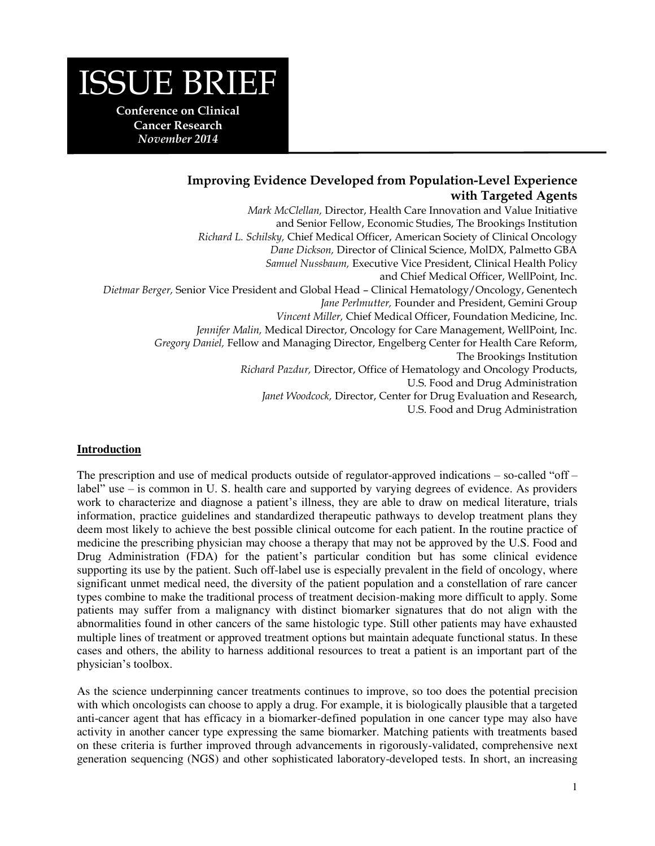# ISSUE BRIEF

**Conference on Clinical Cancer Research**  *November 2014* 

# **Improving Evidence Developed from Population-Level Experience with Targeted Agents**

*Mark McClellan,* Director, Health Care Innovation and Value Initiative and Senior Fellow, Economic Studies, The Brookings Institution *Richard L. Schilsky,* Chief Medical Officer, American Society of Clinical Oncology *Dane Dickson,* Director of Clinical Science, MolDX, Palmetto GBA *Samuel Nussbaum,* Executive Vice President, Clinical Health Policy and Chief Medical Officer, WellPoint, Inc. *Dietmar Berger,* Senior Vice President and Global Head – Clinical Hematology/Oncology, Genentech *Jane Perlmutter,* Founder and President, Gemini Group *Vincent Miller,* Chief Medical Officer, Foundation Medicine, Inc. *Jennifer Malin,* Medical Director, Oncology for Care Management, WellPoint, Inc. *Gregory Daniel,* Fellow and Managing Director, Engelberg Center for Health Care Reform, The Brookings Institution *Richard Pazdur,* Director, Office of Hematology and Oncology Products, U.S. Food and Drug Administration *Janet Woodcock,* Director, Center for Drug Evaluation and Research, U.S. Food and Drug Administration

# **Introduction**

The prescription and use of medical products outside of regulator-approved indications – so-called "off – label" use – is common in U. S. health care and supported by varying degrees of evidence. As providers work to characterize and diagnose a patient's illness, they are able to draw on medical literature, trials information, practice guidelines and standardized therapeutic pathways to develop treatment plans they deem most likely to achieve the best possible clinical outcome for each patient. In the routine practice of medicine the prescribing physician may choose a therapy that may not be approved by the U.S. Food and Drug Administration (FDA) for the patient's particular condition but has some clinical evidence supporting its use by the patient. Such off-label use is especially prevalent in the field of oncology, where significant unmet medical need, the diversity of the patient population and a constellation of rare cancer types combine to make the traditional process of treatment decision-making more difficult to apply. Some patients may suffer from a malignancy with distinct biomarker signatures that do not align with the abnormalities found in other cancers of the same histologic type. Still other patients may have exhausted multiple lines of treatment or approved treatment options but maintain adequate functional status. In these cases and others, the ability to harness additional resources to treat a patient is an important part of the physician's toolbox.

As the science underpinning cancer treatments continues to improve, so too does the potential precision with which oncologists can choose to apply a drug. For example, it is biologically plausible that a targeted anti-cancer agent that has efficacy in a biomarker-defined population in one cancer type may also have activity in another cancer type expressing the same biomarker. Matching patients with treatments based on these criteria is further improved through advancements in rigorously-validated, comprehensive next generation sequencing (NGS) and other sophisticated laboratory-developed tests. In short, an increasing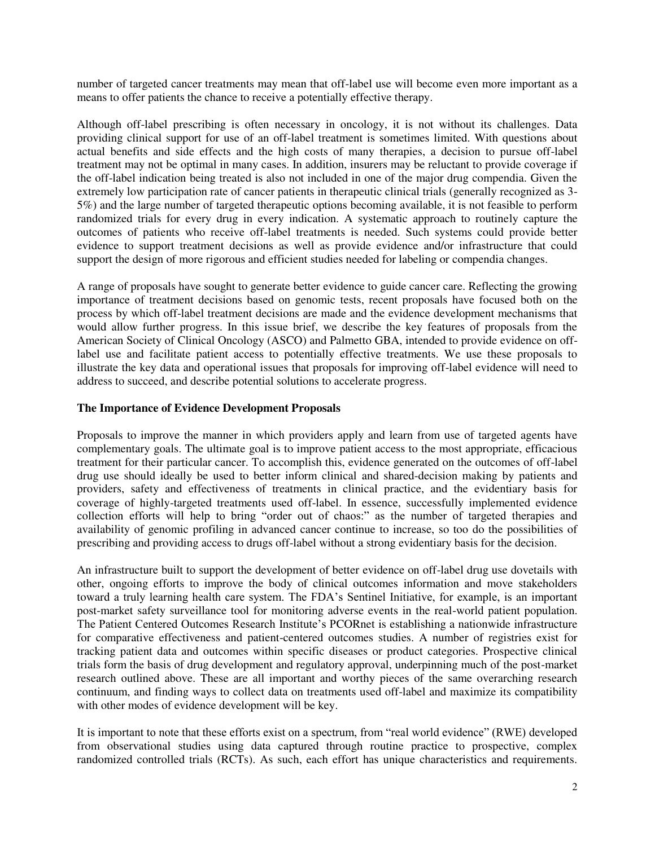number of targeted cancer treatments may mean that off-label use will become even more important as a means to offer patients the chance to receive a potentially effective therapy.

Although off-label prescribing is often necessary in oncology, it is not without its challenges. Data providing clinical support for use of an off-label treatment is sometimes limited. With questions about actual benefits and side effects and the high costs of many therapies, a decision to pursue off-label treatment may not be optimal in many cases. In addition, insurers may be reluctant to provide coverage if the off-label indication being treated is also not included in one of the major drug compendia. Given the extremely low participation rate of cancer patients in therapeutic clinical trials (generally recognized as 3- 5%) and the large number of targeted therapeutic options becoming available, it is not feasible to perform randomized trials for every drug in every indication. A systematic approach to routinely capture the outcomes of patients who receive off-label treatments is needed. Such systems could provide better evidence to support treatment decisions as well as provide evidence and/or infrastructure that could support the design of more rigorous and efficient studies needed for labeling or compendia changes.

A range of proposals have sought to generate better evidence to guide cancer care. Reflecting the growing importance of treatment decisions based on genomic tests, recent proposals have focused both on the process by which off-label treatment decisions are made and the evidence development mechanisms that would allow further progress. In this issue brief, we describe the key features of proposals from the American Society of Clinical Oncology (ASCO) and Palmetto GBA, intended to provide evidence on offlabel use and facilitate patient access to potentially effective treatments. We use these proposals to illustrate the key data and operational issues that proposals for improving off-label evidence will need to address to succeed, and describe potential solutions to accelerate progress.

# **The Importance of Evidence Development Proposals**

Proposals to improve the manner in which providers apply and learn from use of targeted agents have complementary goals. The ultimate goal is to improve patient access to the most appropriate, efficacious treatment for their particular cancer. To accomplish this, evidence generated on the outcomes of off-label drug use should ideally be used to better inform clinical and shared-decision making by patients and providers, safety and effectiveness of treatments in clinical practice, and the evidentiary basis for coverage of highly-targeted treatments used off-label. In essence, successfully implemented evidence collection efforts will help to bring "order out of chaos:" as the number of targeted therapies and availability of genomic profiling in advanced cancer continue to increase, so too do the possibilities of prescribing and providing access to drugs off-label without a strong evidentiary basis for the decision.

An infrastructure built to support the development of better evidence on off-label drug use dovetails with other, ongoing efforts to improve the body of clinical outcomes information and move stakeholders toward a truly learning health care system. The FDA's Sentinel Initiative, for example, is an important post-market safety surveillance tool for monitoring adverse events in the real-world patient population. The Patient Centered Outcomes Research Institute's PCORnet is establishing a nationwide infrastructure for comparative effectiveness and patient-centered outcomes studies. A number of registries exist for tracking patient data and outcomes within specific diseases or product categories. Prospective clinical trials form the basis of drug development and regulatory approval, underpinning much of the post-market research outlined above. These are all important and worthy pieces of the same overarching research continuum, and finding ways to collect data on treatments used off-label and maximize its compatibility with other modes of evidence development will be key.

It is important to note that these efforts exist on a spectrum, from "real world evidence" (RWE) developed from observational studies using data captured through routine practice to prospective, complex randomized controlled trials (RCTs). As such, each effort has unique characteristics and requirements.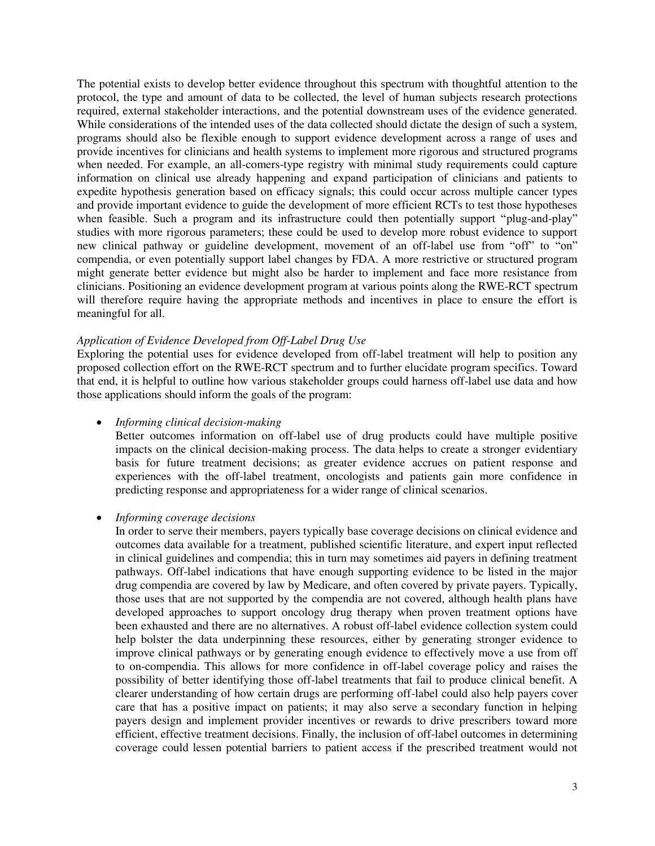The potential exists to develop better evidence throughout this spectrum with thoughtful attention to the protocol, the type and amount of data to be collected, the level of human subjects research protections required, external stakeholder interactions, and the potential downstream uses of the evidence generated. While considerations of the intended uses of the data collected should dictate the design of such a system, programs should also be flexible enough to support evidence development across a range of uses and provide incentives for clinicians and health systems to implement more rigorous and structured programs when needed. For example, an all-comers-type registry with minimal study requirements could capture information on clinical use already happening and expand participation of clinicians and patients to expedite hypothesis generation based on efficacy signals; this could occur across multiple cancer types and provide important evidence to guide the development of more efficient RCTs to test those hypotheses when feasible. Such a program and its infrastructure could then potentially support "plug-and-play" studies with more rigorous parameters; these could be used to develop more robust evidence to support new clinical pathway or guideline development, movement of an off-label use from "off" to "on" compendia, or even potentially support label changes by FDA. A more restrictive or structured program might generate better evidence but might also be harder to implement and face more resistance from clinicians. Positioning an evidence development program at various points along the RWE-RCT spectrum will therefore require having the appropriate methods and incentives in place to ensure the effort is meaningful for all.

## *Application of Evidence Developed from Off-Label Drug Use*

Exploring the potential uses for evidence developed from off-label treatment will help to position any proposed collection effort on the RWE-RCT spectrum and to further elucidate program specifics. Toward that end, it is helpful to outline how various stakeholder groups could harness off-label use data and how those applications should inform the goals of the program:

## *Informing clinical decision-making*

Better outcomes information on off-label use of drug products could have multiple positive impacts on the clinical decision-making process. The data helps to create a stronger evidentiary basis for future treatment decisions; as greater evidence accrues on patient response and experiences with the off-label treatment, oncologists and patients gain more confidence in predicting response and appropriateness for a wider range of clinical scenarios.

## *Informing coverage decisions*

In order to serve their members, payers typically base coverage decisions on clinical evidence and outcomes data available for a treatment, published scientific literature, and expert input reflected in clinical guidelines and compendia; this in turn may sometimes aid payers in defining treatment pathways. Off-label indications that have enough supporting evidence to be listed in the major drug compendia are covered by law by Medicare, and often covered by private payers. Typically, those uses that are not supported by the compendia are not covered, although health plans have developed approaches to support oncology drug therapy when proven treatment options have been exhausted and there are no alternatives. A robust off-label evidence collection system could help bolster the data underpinning these resources, either by generating stronger evidence to improve clinical pathways or by generating enough evidence to effectively move a use from off to on-compendia. This allows for more confidence in off-label coverage policy and raises the possibility of better identifying those off-label treatments that fail to produce clinical benefit. A clearer understanding of how certain drugs are performing off-label could also help payers cover care that has a positive impact on patients; it may also serve a secondary function in helping payers design and implement provider incentives or rewards to drive prescribers toward more efficient, effective treatment decisions. Finally, the inclusion of off-label outcomes in determining coverage could lessen potential barriers to patient access if the prescribed treatment would not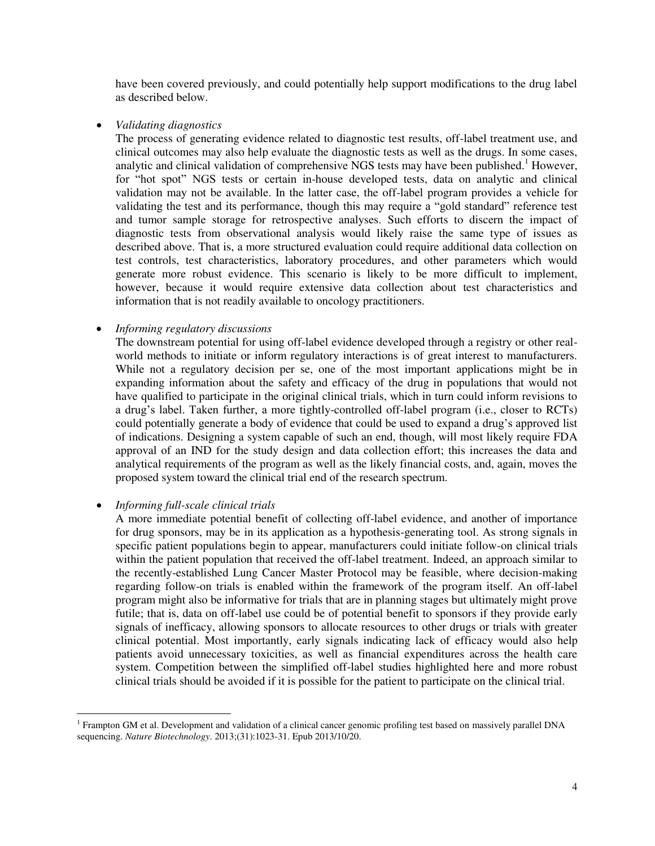have been covered previously, and could potentially help support modifications to the drug label as described below.

*Validating diagnostics* 

The process of generating evidence related to diagnostic test results, off-label treatment use, and clinical outcomes may also help evaluate the diagnostic tests as well as the drugs. In some cases, analytic and clinical validation of comprehensive NGS tests may have been published.<sup>1</sup> However, for "hot spot" NGS tests or certain in-house developed tests, data on analytic and clinical validation may not be available. In the latter case, the off-label program provides a vehicle for validating the test and its performance, though this may require a "gold standard" reference test and tumor sample storage for retrospective analyses. Such efforts to discern the impact of diagnostic tests from observational analysis would likely raise the same type of issues as described above. That is, a more structured evaluation could require additional data collection on test controls, test characteristics, laboratory procedures, and other parameters which would generate more robust evidence. This scenario is likely to be more difficult to implement, however, because it would require extensive data collection about test characteristics and information that is not readily available to oncology practitioners.

# *Informing regulatory discussions*

The downstream potential for using off-label evidence developed through a registry or other realworld methods to initiate or inform regulatory interactions is of great interest to manufacturers. While not a regulatory decision per se, one of the most important applications might be in expanding information about the safety and efficacy of the drug in populations that would not have qualified to participate in the original clinical trials, which in turn could inform revisions to a drug's label. Taken further, a more tightly-controlled off-label program (i.e., closer to RCTs) could potentially generate a body of evidence that could be used to expand a drug's approved list of indications. Designing a system capable of such an end, though, will most likely require FDA approval of an IND for the study design and data collection effort; this increases the data and analytical requirements of the program as well as the likely financial costs, and, again, moves the proposed system toward the clinical trial end of the research spectrum.

# *Informing full-scale clinical trials*

 $\overline{a}$ 

A more immediate potential benefit of collecting off-label evidence, and another of importance for drug sponsors, may be in its application as a hypothesis-generating tool. As strong signals in specific patient populations begin to appear, manufacturers could initiate follow-on clinical trials within the patient population that received the off-label treatment. Indeed, an approach similar to the recently-established Lung Cancer Master Protocol may be feasible, where decision-making regarding follow-on trials is enabled within the framework of the program itself. An off-label program might also be informative for trials that are in planning stages but ultimately might prove futile; that is, data on off-label use could be of potential benefit to sponsors if they provide early signals of inefficacy, allowing sponsors to allocate resources to other drugs or trials with greater clinical potential. Most importantly, early signals indicating lack of efficacy would also help patients avoid unnecessary toxicities, as well as financial expenditures across the health care system. Competition between the simplified off-label studies highlighted here and more robust clinical trials should be avoided if it is possible for the patient to participate on the clinical trial.

 $1$  Frampton GM et al. Development and validation of a clinical cancer genomic profiling test based on massively parallel DNA sequencing. *Nature Biotechnology*. 2013;(31):1023-31. Epub 2013/10/20.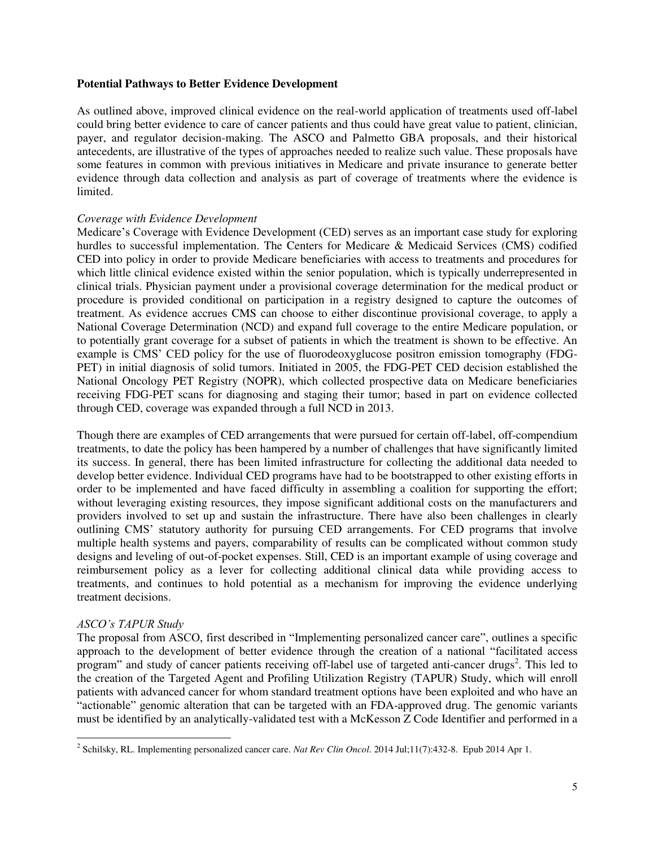## **Potential Pathways to Better Evidence Development**

As outlined above, improved clinical evidence on the real-world application of treatments used off-label could bring better evidence to care of cancer patients and thus could have great value to patient, clinician, payer, and regulator decision-making. The ASCO and Palmetto GBA proposals, and their historical antecedents, are illustrative of the types of approaches needed to realize such value. These proposals have some features in common with previous initiatives in Medicare and private insurance to generate better evidence through data collection and analysis as part of coverage of treatments where the evidence is limited.

# *Coverage with Evidence Development*

Medicare's Coverage with Evidence Development (CED) serves as an important case study for exploring hurdles to successful implementation. The Centers for Medicare & Medicaid Services (CMS) codified CED into policy in order to provide Medicare beneficiaries with access to treatments and procedures for which little clinical evidence existed within the senior population, which is typically underrepresented in clinical trials. Physician payment under a provisional coverage determination for the medical product or procedure is provided conditional on participation in a registry designed to capture the outcomes of treatment. As evidence accrues CMS can choose to either discontinue provisional coverage, to apply a National Coverage Determination (NCD) and expand full coverage to the entire Medicare population, or to potentially grant coverage for a subset of patients in which the treatment is shown to be effective. An example is CMS' CED policy for the use of fluorodeoxyglucose positron emission tomography (FDG-PET) in initial diagnosis of solid tumors. Initiated in 2005, the FDG-PET CED decision established the National Oncology PET Registry (NOPR), which collected prospective data on Medicare beneficiaries receiving FDG-PET scans for diagnosing and staging their tumor; based in part on evidence collected through CED, coverage was expanded through a full NCD in 2013.

Though there are examples of CED arrangements that were pursued for certain off-label, off-compendium treatments, to date the policy has been hampered by a number of challenges that have significantly limited its success. In general, there has been limited infrastructure for collecting the additional data needed to develop better evidence. Individual CED programs have had to be bootstrapped to other existing efforts in order to be implemented and have faced difficulty in assembling a coalition for supporting the effort; without leveraging existing resources, they impose significant additional costs on the manufacturers and providers involved to set up and sustain the infrastructure. There have also been challenges in clearly outlining CMS' statutory authority for pursuing CED arrangements. For CED programs that involve multiple health systems and payers, comparability of results can be complicated without common study designs and leveling of out-of-pocket expenses. Still, CED is an important example of using coverage and reimbursement policy as a lever for collecting additional clinical data while providing access to treatments, and continues to hold potential as a mechanism for improving the evidence underlying treatment decisions.

# *ASCO's TAPUR Study*

l

The proposal from ASCO, first described in "Implementing personalized cancer care", outlines a specific approach to the development of better evidence through the creation of a national "facilitated access program" and study of cancer patients receiving off-label use of targeted anti-cancer drugs<sup>2</sup>. This led to the creation of the Targeted Agent and Profiling Utilization Registry (TAPUR) Study, which will enroll patients with advanced cancer for whom standard treatment options have been exploited and who have an "actionable" genomic alteration that can be targeted with an FDA-approved drug. The genomic variants must be identified by an analytically-validated test with a McKesson Z Code Identifier and performed in a

<sup>2</sup> Schilsky, RL. Implementing personalized cancer care. *Nat Rev Clin Oncol*. 2014 Jul;11(7):432-8. Epub 2014 Apr 1.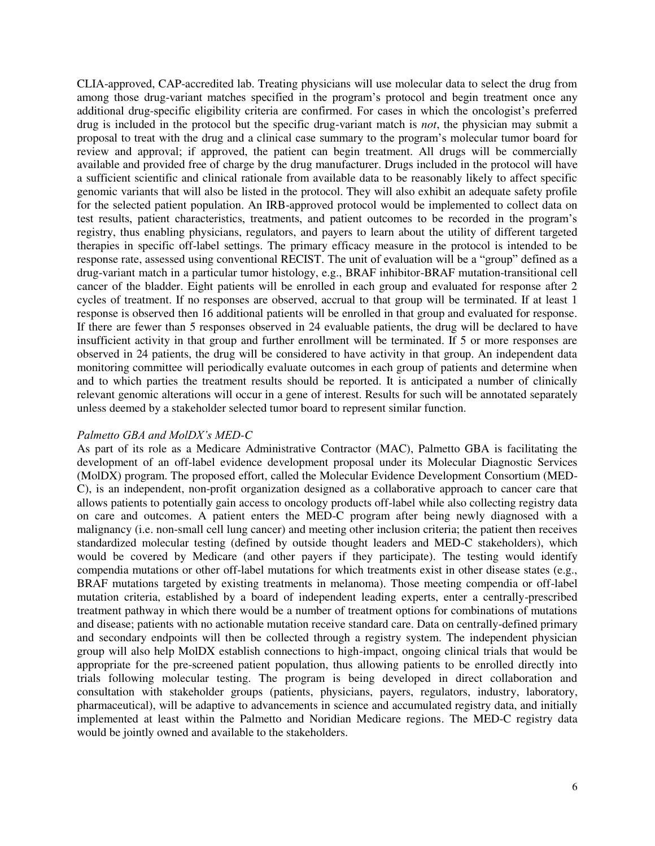CLIA-approved, CAP-accredited lab. Treating physicians will use molecular data to select the drug from among those drug-variant matches specified in the program's protocol and begin treatment once any additional drug-specific eligibility criteria are confirmed. For cases in which the oncologist's preferred drug is included in the protocol but the specific drug-variant match is *not*, the physician may submit a proposal to treat with the drug and a clinical case summary to the program's molecular tumor board for review and approval; if approved, the patient can begin treatment. All drugs will be commercially available and provided free of charge by the drug manufacturer. Drugs included in the protocol will have a sufficient scientific and clinical rationale from available data to be reasonably likely to affect specific genomic variants that will also be listed in the protocol. They will also exhibit an adequate safety profile for the selected patient population. An IRB-approved protocol would be implemented to collect data on test results, patient characteristics, treatments, and patient outcomes to be recorded in the program's registry, thus enabling physicians, regulators, and payers to learn about the utility of different targeted therapies in specific off-label settings. The primary efficacy measure in the protocol is intended to be response rate, assessed using conventional RECIST. The unit of evaluation will be a "group" defined as a drug-variant match in a particular tumor histology, e.g., BRAF inhibitor-BRAF mutation-transitional cell cancer of the bladder. Eight patients will be enrolled in each group and evaluated for response after 2 cycles of treatment. If no responses are observed, accrual to that group will be terminated. If at least 1 response is observed then 16 additional patients will be enrolled in that group and evaluated for response. If there are fewer than 5 responses observed in 24 evaluable patients, the drug will be declared to have insufficient activity in that group and further enrollment will be terminated. If 5 or more responses are observed in 24 patients, the drug will be considered to have activity in that group. An independent data monitoring committee will periodically evaluate outcomes in each group of patients and determine when and to which parties the treatment results should be reported. It is anticipated a number of clinically relevant genomic alterations will occur in a gene of interest. Results for such will be annotated separately unless deemed by a stakeholder selected tumor board to represent similar function.

# *Palmetto GBA and MolDX's MED-C*

As part of its role as a Medicare Administrative Contractor (MAC), Palmetto GBA is facilitating the development of an off-label evidence development proposal under its Molecular Diagnostic Services (MolDX) program. The proposed effort, called the Molecular Evidence Development Consortium (MED-C), is an independent, non-profit organization designed as a collaborative approach to cancer care that allows patients to potentially gain access to oncology products off-label while also collecting registry data on care and outcomes. A patient enters the MED-C program after being newly diagnosed with a malignancy (i.e. non-small cell lung cancer) and meeting other inclusion criteria; the patient then receives standardized molecular testing (defined by outside thought leaders and MED-C stakeholders), which would be covered by Medicare (and other payers if they participate). The testing would identify compendia mutations or other off-label mutations for which treatments exist in other disease states (e.g., BRAF mutations targeted by existing treatments in melanoma). Those meeting compendia or off-label mutation criteria, established by a board of independent leading experts, enter a centrally-prescribed treatment pathway in which there would be a number of treatment options for combinations of mutations and disease; patients with no actionable mutation receive standard care. Data on centrally-defined primary and secondary endpoints will then be collected through a registry system. The independent physician group will also help MolDX establish connections to high-impact, ongoing clinical trials that would be appropriate for the pre-screened patient population, thus allowing patients to be enrolled directly into trials following molecular testing. The program is being developed in direct collaboration and consultation with stakeholder groups (patients, physicians, payers, regulators, industry, laboratory, pharmaceutical), will be adaptive to advancements in science and accumulated registry data, and initially implemented at least within the Palmetto and Noridian Medicare regions. The MED-C registry data would be jointly owned and available to the stakeholders.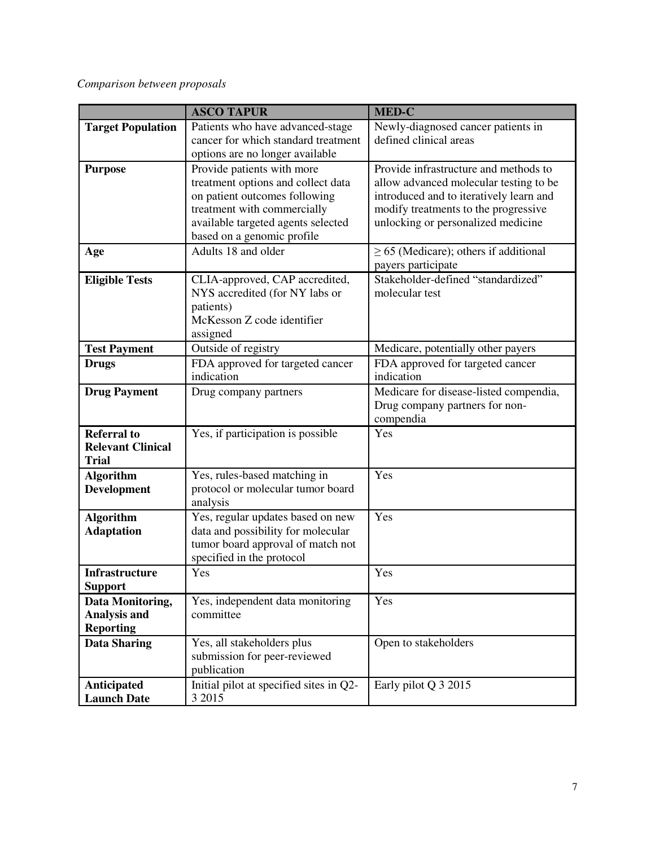# *Comparison between proposals*

|                                                                | <b>ASCO TAPUR</b>                                                                                                                                                                                    | <b>MED-C</b>                                                                                                                                                                                             |
|----------------------------------------------------------------|------------------------------------------------------------------------------------------------------------------------------------------------------------------------------------------------------|----------------------------------------------------------------------------------------------------------------------------------------------------------------------------------------------------------|
| <b>Target Population</b>                                       | Patients who have advanced-stage<br>cancer for which standard treatment<br>options are no longer available                                                                                           | Newly-diagnosed cancer patients in<br>defined clinical areas                                                                                                                                             |
| <b>Purpose</b>                                                 | Provide patients with more<br>treatment options and collect data<br>on patient outcomes following<br>treatment with commercially<br>available targeted agents selected<br>based on a genomic profile | Provide infrastructure and methods to<br>allow advanced molecular testing to be<br>introduced and to iteratively learn and<br>modify treatments to the progressive<br>unlocking or personalized medicine |
| Age                                                            | Adults 18 and older                                                                                                                                                                                  | $\geq$ 65 (Medicare); others if additional<br>payers participate                                                                                                                                         |
| <b>Eligible Tests</b>                                          | CLIA-approved, CAP accredited,<br>NYS accredited (for NY labs or<br>patients)<br>McKesson Z code identifier<br>assigned                                                                              | Stakeholder-defined "standardized"<br>molecular test                                                                                                                                                     |
| <b>Test Payment</b>                                            | Outside of registry                                                                                                                                                                                  | Medicare, potentially other payers                                                                                                                                                                       |
| <b>Drugs</b>                                                   | FDA approved for targeted cancer<br>indication                                                                                                                                                       | FDA approved for targeted cancer<br>indication                                                                                                                                                           |
| <b>Drug Payment</b>                                            | Drug company partners                                                                                                                                                                                | Medicare for disease-listed compendia,<br>Drug company partners for non-<br>compendia                                                                                                                    |
| <b>Referral to</b><br><b>Relevant Clinical</b><br><b>Trial</b> | Yes, if participation is possible                                                                                                                                                                    | Yes                                                                                                                                                                                                      |
| <b>Algorithm</b><br><b>Development</b>                         | Yes, rules-based matching in<br>protocol or molecular tumor board<br>analysis                                                                                                                        | Yes                                                                                                                                                                                                      |
| <b>Algorithm</b><br><b>Adaptation</b>                          | Yes, regular updates based on new<br>data and possibility for molecular<br>tumor board approval of match not<br>specified in the protocol                                                            | Yes                                                                                                                                                                                                      |
| Infrastructure<br><b>Support</b>                               | Yes                                                                                                                                                                                                  | Yes                                                                                                                                                                                                      |
| Data Monitoring,<br>Analysis and<br><b>Reporting</b>           | Yes, independent data monitoring<br>committee                                                                                                                                                        | Yes                                                                                                                                                                                                      |
| <b>Data Sharing</b>                                            | Yes, all stakeholders plus<br>submission for peer-reviewed<br>publication                                                                                                                            | Open to stakeholders                                                                                                                                                                                     |
| Anticipated<br><b>Launch Date</b>                              | Initial pilot at specified sites in Q2-<br>3 2015                                                                                                                                                    | Early pilot Q 3 2015                                                                                                                                                                                     |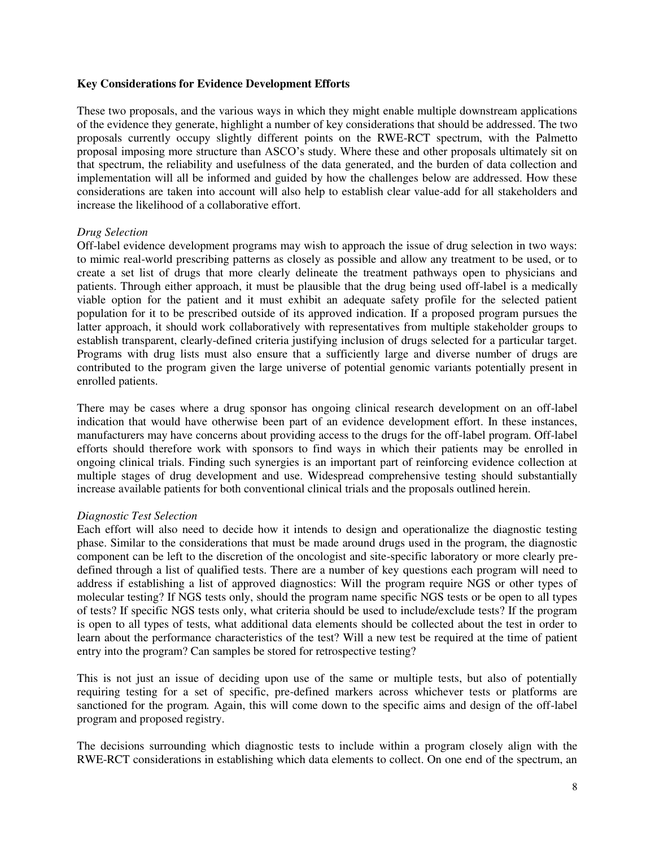## **Key Considerations for Evidence Development Efforts**

These two proposals, and the various ways in which they might enable multiple downstream applications of the evidence they generate, highlight a number of key considerations that should be addressed. The two proposals currently occupy slightly different points on the RWE-RCT spectrum, with the Palmetto proposal imposing more structure than ASCO's study. Where these and other proposals ultimately sit on that spectrum, the reliability and usefulness of the data generated, and the burden of data collection and implementation will all be informed and guided by how the challenges below are addressed. How these considerations are taken into account will also help to establish clear value-add for all stakeholders and increase the likelihood of a collaborative effort.

## *Drug Selection*

Off-label evidence development programs may wish to approach the issue of drug selection in two ways: to mimic real-world prescribing patterns as closely as possible and allow any treatment to be used, or to create a set list of drugs that more clearly delineate the treatment pathways open to physicians and patients. Through either approach, it must be plausible that the drug being used off-label is a medically viable option for the patient and it must exhibit an adequate safety profile for the selected patient population for it to be prescribed outside of its approved indication. If a proposed program pursues the latter approach, it should work collaboratively with representatives from multiple stakeholder groups to establish transparent, clearly-defined criteria justifying inclusion of drugs selected for a particular target. Programs with drug lists must also ensure that a sufficiently large and diverse number of drugs are contributed to the program given the large universe of potential genomic variants potentially present in enrolled patients.

There may be cases where a drug sponsor has ongoing clinical research development on an off-label indication that would have otherwise been part of an evidence development effort. In these instances, manufacturers may have concerns about providing access to the drugs for the off-label program. Off-label efforts should therefore work with sponsors to find ways in which their patients may be enrolled in ongoing clinical trials. Finding such synergies is an important part of reinforcing evidence collection at multiple stages of drug development and use. Widespread comprehensive testing should substantially increase available patients for both conventional clinical trials and the proposals outlined herein.

## *Diagnostic Test Selection*

Each effort will also need to decide how it intends to design and operationalize the diagnostic testing phase. Similar to the considerations that must be made around drugs used in the program, the diagnostic component can be left to the discretion of the oncologist and site-specific laboratory or more clearly predefined through a list of qualified tests. There are a number of key questions each program will need to address if establishing a list of approved diagnostics: Will the program require NGS or other types of molecular testing? If NGS tests only, should the program name specific NGS tests or be open to all types of tests? If specific NGS tests only, what criteria should be used to include/exclude tests? If the program is open to all types of tests, what additional data elements should be collected about the test in order to learn about the performance characteristics of the test? Will a new test be required at the time of patient entry into the program? Can samples be stored for retrospective testing?

This is not just an issue of deciding upon use of the same or multiple tests, but also of potentially requiring testing for a set of specific, pre-defined markers across whichever tests or platforms are sanctioned for the program*.* Again, this will come down to the specific aims and design of the off-label program and proposed registry.

The decisions surrounding which diagnostic tests to include within a program closely align with the RWE-RCT considerations in establishing which data elements to collect. On one end of the spectrum, an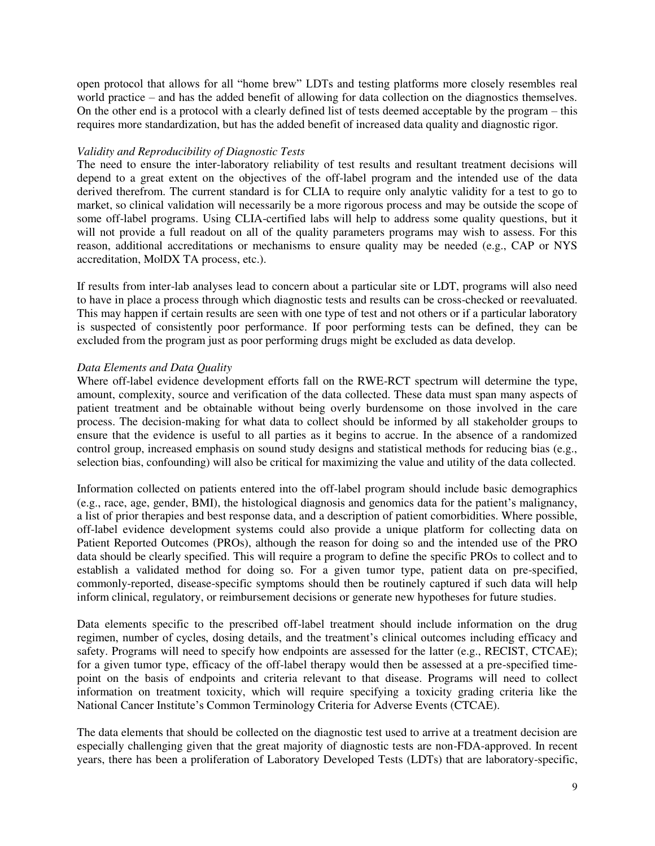open protocol that allows for all "home brew" LDTs and testing platforms more closely resembles real world practice – and has the added benefit of allowing for data collection on the diagnostics themselves*.*  On the other end is a protocol with a clearly defined list of tests deemed acceptable by the program – this requires more standardization, but has the added benefit of increased data quality and diagnostic rigor*.* 

# *Validity and Reproducibility of Diagnostic Tests*

The need to ensure the inter-laboratory reliability of test results and resultant treatment decisions will depend to a great extent on the objectives of the off-label program and the intended use of the data derived therefrom. The current standard is for CLIA to require only analytic validity for a test to go to market, so clinical validation will necessarily be a more rigorous process and may be outside the scope of some off-label programs. Using CLIA-certified labs will help to address some quality questions, but it will not provide a full readout on all of the quality parameters programs may wish to assess. For this reason, additional accreditations or mechanisms to ensure quality may be needed (e.g., CAP or NYS accreditation, MolDX TA process, etc.).

If results from inter-lab analyses lead to concern about a particular site or LDT, programs will also need to have in place a process through which diagnostic tests and results can be cross-checked or reevaluated. This may happen if certain results are seen with one type of test and not others or if a particular laboratory is suspected of consistently poor performance. If poor performing tests can be defined, they can be excluded from the program just as poor performing drugs might be excluded as data develop.

# *Data Elements and Data Quality*

Where off-label evidence development efforts fall on the RWE-RCT spectrum will determine the type, amount, complexity, source and verification of the data collected. These data must span many aspects of patient treatment and be obtainable without being overly burdensome on those involved in the care process. The decision-making for what data to collect should be informed by all stakeholder groups to ensure that the evidence is useful to all parties as it begins to accrue. In the absence of a randomized control group, increased emphasis on sound study designs and statistical methods for reducing bias (e.g., selection bias, confounding) will also be critical for maximizing the value and utility of the data collected.

Information collected on patients entered into the off-label program should include basic demographics (e.g., race, age, gender, BMI), the histological diagnosis and genomics data for the patient's malignancy, a list of prior therapies and best response data, and a description of patient comorbidities. Where possible, off-label evidence development systems could also provide a unique platform for collecting data on Patient Reported Outcomes (PROs), although the reason for doing so and the intended use of the PRO data should be clearly specified. This will require a program to define the specific PROs to collect and to establish a validated method for doing so. For a given tumor type, patient data on pre-specified, commonly-reported, disease-specific symptoms should then be routinely captured if such data will help inform clinical, regulatory, or reimbursement decisions or generate new hypotheses for future studies.

Data elements specific to the prescribed off-label treatment should include information on the drug regimen, number of cycles, dosing details, and the treatment's clinical outcomes including efficacy and safety. Programs will need to specify how endpoints are assessed for the latter (e.g., RECIST, CTCAE); for a given tumor type, efficacy of the off-label therapy would then be assessed at a pre-specified timepoint on the basis of endpoints and criteria relevant to that disease. Programs will need to collect information on treatment toxicity, which will require specifying a toxicity grading criteria like the National Cancer Institute's Common Terminology Criteria for Adverse Events (CTCAE).

The data elements that should be collected on the diagnostic test used to arrive at a treatment decision are especially challenging given that the great majority of diagnostic tests are non-FDA-approved. In recent years, there has been a proliferation of Laboratory Developed Tests (LDTs) that are laboratory-specific,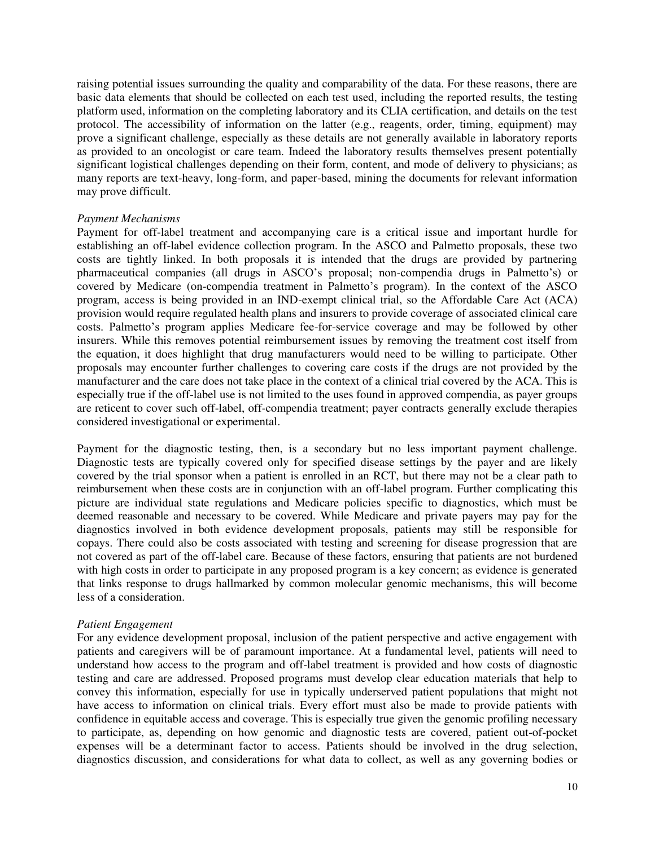raising potential issues surrounding the quality and comparability of the data. For these reasons, there are basic data elements that should be collected on each test used, including the reported results, the testing platform used, information on the completing laboratory and its CLIA certification, and details on the test protocol. The accessibility of information on the latter (e.g., reagents, order, timing, equipment) may prove a significant challenge, especially as these details are not generally available in laboratory reports as provided to an oncologist or care team. Indeed the laboratory results themselves present potentially significant logistical challenges depending on their form, content, and mode of delivery to physicians; as many reports are text-heavy, long-form, and paper-based, mining the documents for relevant information may prove difficult.

## *Payment Mechanisms*

Payment for off-label treatment and accompanying care is a critical issue and important hurdle for establishing an off-label evidence collection program. In the ASCO and Palmetto proposals, these two costs are tightly linked. In both proposals it is intended that the drugs are provided by partnering pharmaceutical companies (all drugs in ASCO's proposal; non-compendia drugs in Palmetto's) or covered by Medicare (on-compendia treatment in Palmetto's program). In the context of the ASCO program, access is being provided in an IND-exempt clinical trial, so the Affordable Care Act (ACA) provision would require regulated health plans and insurers to provide coverage of associated clinical care costs. Palmetto's program applies Medicare fee-for-service coverage and may be followed by other insurers. While this removes potential reimbursement issues by removing the treatment cost itself from the equation, it does highlight that drug manufacturers would need to be willing to participate. Other proposals may encounter further challenges to covering care costs if the drugs are not provided by the manufacturer and the care does not take place in the context of a clinical trial covered by the ACA. This is especially true if the off-label use is not limited to the uses found in approved compendia, as payer groups are reticent to cover such off-label, off-compendia treatment; payer contracts generally exclude therapies considered investigational or experimental.

Payment for the diagnostic testing, then, is a secondary but no less important payment challenge. Diagnostic tests are typically covered only for specified disease settings by the payer and are likely covered by the trial sponsor when a patient is enrolled in an RCT, but there may not be a clear path to reimbursement when these costs are in conjunction with an off-label program. Further complicating this picture are individual state regulations and Medicare policies specific to diagnostics, which must be deemed reasonable and necessary to be covered. While Medicare and private payers may pay for the diagnostics involved in both evidence development proposals, patients may still be responsible for copays. There could also be costs associated with testing and screening for disease progression that are not covered as part of the off-label care. Because of these factors, ensuring that patients are not burdened with high costs in order to participate in any proposed program is a key concern; as evidence is generated that links response to drugs hallmarked by common molecular genomic mechanisms, this will become less of a consideration.

## *Patient Engagement*

For any evidence development proposal, inclusion of the patient perspective and active engagement with patients and caregivers will be of paramount importance. At a fundamental level, patients will need to understand how access to the program and off-label treatment is provided and how costs of diagnostic testing and care are addressed. Proposed programs must develop clear education materials that help to convey this information, especially for use in typically underserved patient populations that might not have access to information on clinical trials. Every effort must also be made to provide patients with confidence in equitable access and coverage. This is especially true given the genomic profiling necessary to participate, as, depending on how genomic and diagnostic tests are covered, patient out-of-pocket expenses will be a determinant factor to access. Patients should be involved in the drug selection, diagnostics discussion, and considerations for what data to collect, as well as any governing bodies or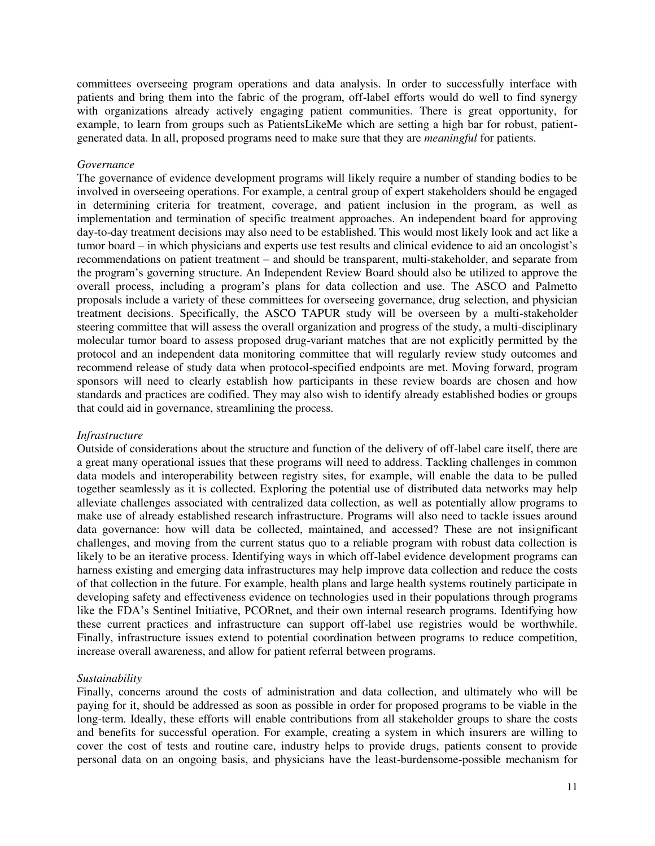committees overseeing program operations and data analysis. In order to successfully interface with patients and bring them into the fabric of the program, off-label efforts would do well to find synergy with organizations already actively engaging patient communities. There is great opportunity, for example, to learn from groups such as PatientsLikeMe which are setting a high bar for robust, patientgenerated data. In all, proposed programs need to make sure that they are *meaningful* for patients.

#### *Governance*

The governance of evidence development programs will likely require a number of standing bodies to be involved in overseeing operations. For example, a central group of expert stakeholders should be engaged in determining criteria for treatment, coverage, and patient inclusion in the program, as well as implementation and termination of specific treatment approaches. An independent board for approving day-to-day treatment decisions may also need to be established. This would most likely look and act like a tumor board – in which physicians and experts use test results and clinical evidence to aid an oncologist's recommendations on patient treatment – and should be transparent, multi-stakeholder, and separate from the program's governing structure. An Independent Review Board should also be utilized to approve the overall process, including a program's plans for data collection and use. The ASCO and Palmetto proposals include a variety of these committees for overseeing governance, drug selection, and physician treatment decisions. Specifically, the ASCO TAPUR study will be overseen by a multi-stakeholder steering committee that will assess the overall organization and progress of the study, a multi-disciplinary molecular tumor board to assess proposed drug-variant matches that are not explicitly permitted by the protocol and an independent data monitoring committee that will regularly review study outcomes and recommend release of study data when protocol-specified endpoints are met. Moving forward, program sponsors will need to clearly establish how participants in these review boards are chosen and how standards and practices are codified. They may also wish to identify already established bodies or groups that could aid in governance, streamlining the process.

## *Infrastructure*

Outside of considerations about the structure and function of the delivery of off-label care itself, there are a great many operational issues that these programs will need to address. Tackling challenges in common data models and interoperability between registry sites, for example, will enable the data to be pulled together seamlessly as it is collected. Exploring the potential use of distributed data networks may help alleviate challenges associated with centralized data collection, as well as potentially allow programs to make use of already established research infrastructure. Programs will also need to tackle issues around data governance: how will data be collected, maintained, and accessed? These are not insignificant challenges, and moving from the current status quo to a reliable program with robust data collection is likely to be an iterative process. Identifying ways in which off-label evidence development programs can harness existing and emerging data infrastructures may help improve data collection and reduce the costs of that collection in the future. For example, health plans and large health systems routinely participate in developing safety and effectiveness evidence on technologies used in their populations through programs like the FDA's Sentinel Initiative, PCORnet, and their own internal research programs. Identifying how these current practices and infrastructure can support off-label use registries would be worthwhile. Finally, infrastructure issues extend to potential coordination between programs to reduce competition, increase overall awareness, and allow for patient referral between programs.

## *Sustainability*

Finally, concerns around the costs of administration and data collection, and ultimately who will be paying for it, should be addressed as soon as possible in order for proposed programs to be viable in the long-term. Ideally, these efforts will enable contributions from all stakeholder groups to share the costs and benefits for successful operation. For example, creating a system in which insurers are willing to cover the cost of tests and routine care, industry helps to provide drugs, patients consent to provide personal data on an ongoing basis, and physicians have the least-burdensome-possible mechanism for